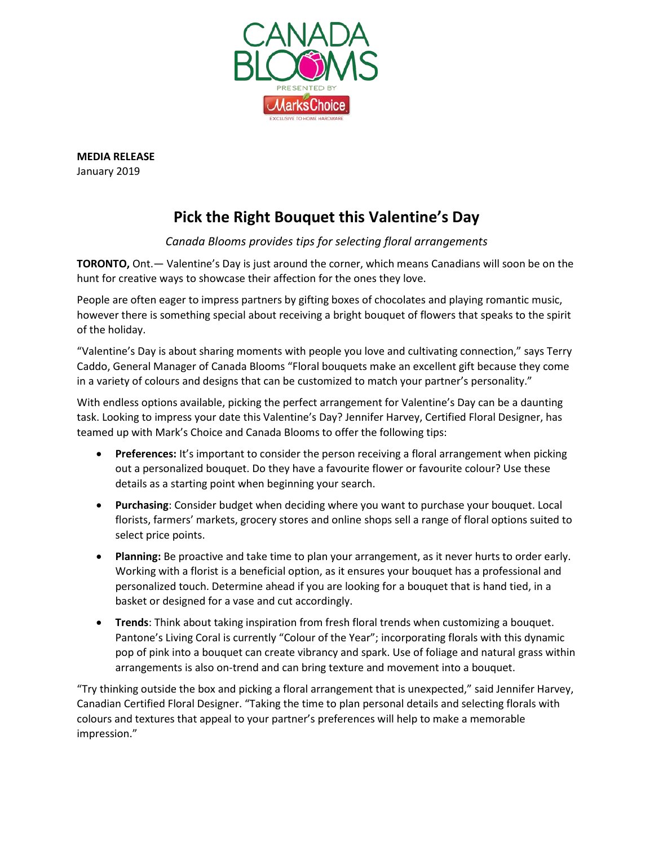

**MEDIA RELEASE** January 2019

# **Pick the Right Bouquet this Valentine's Day**

## *Canada Blooms provides tips for selecting floral arrangements*

**TORONTO,** Ont.— Valentine's Day is just around the corner, which means Canadians will soon be on the hunt for creative ways to showcase their affection for the ones they love.

People are often eager to impress partners by gifting boxes of chocolates and playing romantic music, however there is something special about receiving a bright bouquet of flowers that speaks to the spirit of the holiday.

"Valentine's Day is about sharing moments with people you love and cultivating connection," says Terry Caddo, General Manager of Canada Blooms "Floral bouquets make an excellent gift because they come in a variety of colours and designs that can be customized to match your partner's personality."

With endless options available, picking the perfect arrangement for Valentine's Day can be a daunting task. Looking to impress your date this Valentine's Day? Jennifer Harvey, Certified Floral Designer, has teamed up with Mark's Choice and Canada Blooms to offer the following tips:

- **Preferences:** It's important to consider the person receiving a floral arrangement when picking out a personalized bouquet. Do they have a favourite flower or favourite colour? Use these details as a starting point when beginning your search.
- **Purchasing**: Consider budget when deciding where you want to purchase your bouquet. Local florists, farmers' markets, grocery stores and online shops sell a range of floral options suited to select price points.
- **Planning:** Be proactive and take time to plan your arrangement, as it never hurts to order early. Working with a florist is a beneficial option, as it ensures your bouquet has a professional and personalized touch. Determine ahead if you are looking for a bouquet that is hand tied, in a basket or designed for a vase and cut accordingly.
- **Trends**: Think about taking inspiration from fresh floral trends when customizing a bouquet. Pantone's Living Coral is currently "Colour of the Year"; incorporating florals with this dynamic pop of pink into a bouquet can create vibrancy and spark. Use of foliage and natural grass within arrangements is also on-trend and can bring texture and movement into a bouquet.

"Try thinking outside the box and picking a floral arrangement that is unexpected," said Jennifer Harvey, Canadian Certified Floral Designer. "Taking the time to plan personal details and selecting florals with colours and textures that appeal to your partner's preferences will help to make a memorable impression."